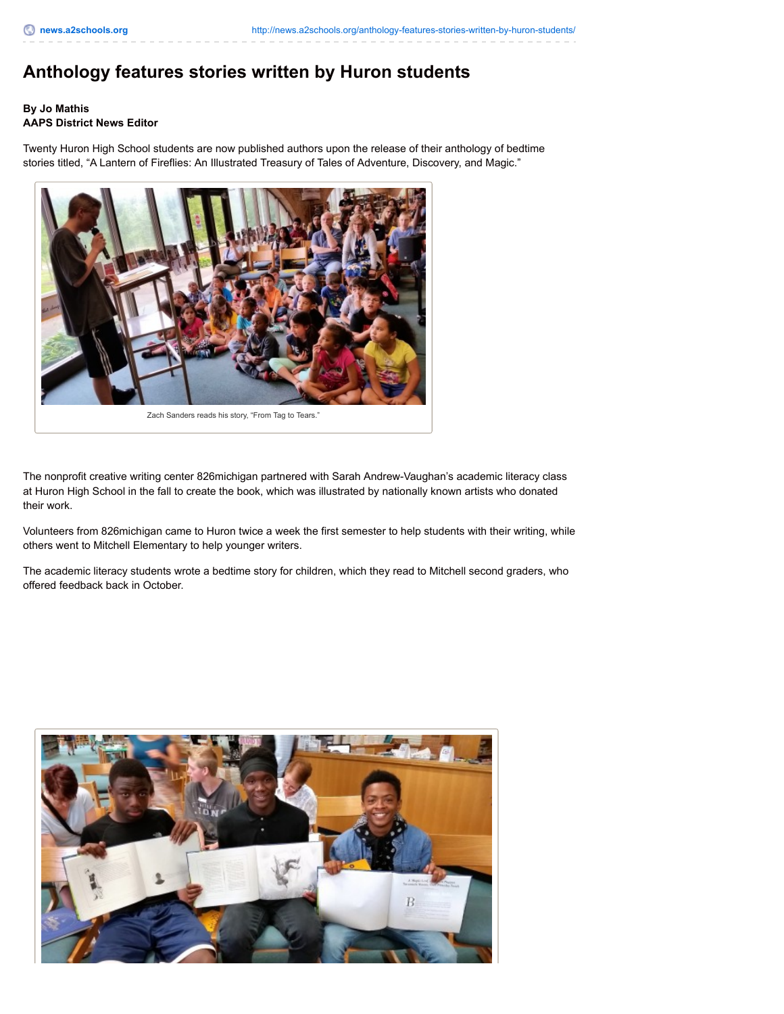## **Anthology features stories written by Huron students**

## **By Jo Mathis AAPS District News Editor**

Twenty Huron High School students are now published authors upon the release of their anthology of bedtime stories titled, "A Lantern of Fireflies: An Illustrated Treasury of Tales of Adventure, Discovery, and Magic."



Zach Sanders reads his story, "From Tag to Tears."

The nonprofit creative writing center 826michigan partnered with Sarah Andrew-Vaughan's academic literacy class at Huron High School in the fall to create the book, which was illustrated by nationally known artists who donated their work.

Volunteers from 826michigan came to Huron twice a week the first semester to help students with their writing, while others went to Mitchell Elementary to help younger writers.

The academic literacy students wrote a bedtime story for children, which they read to Mitchell second graders, who offered feedback back in October.

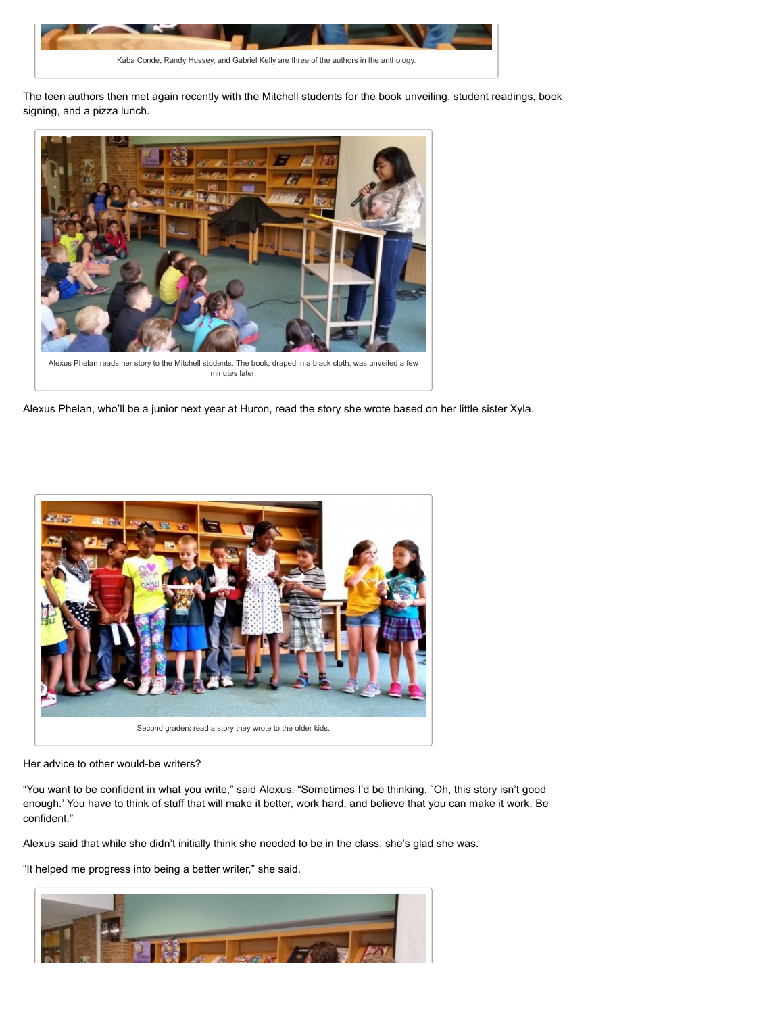

The teen authors then met again recently with the Mitchell students for the book unveiling, student readings, book signing, and a pizza lunch.



Alexus Phelan, who'll be a junior next year at Huron, read the story she wrote based on her little sister Xyla.



Her advice to other would-be writers?

"You want to be confident in what you write," said Alexus. "Sometimes I'd be thinking, `Oh, this story isn't good enough.' You have to think of stuff that will make it better, work hard, and believe that you can make it work. Be confident."

Alexus said that while she didn't initially think she needed to be in the class, she's glad she was.

"It helped me progress into being a better writer," she said.